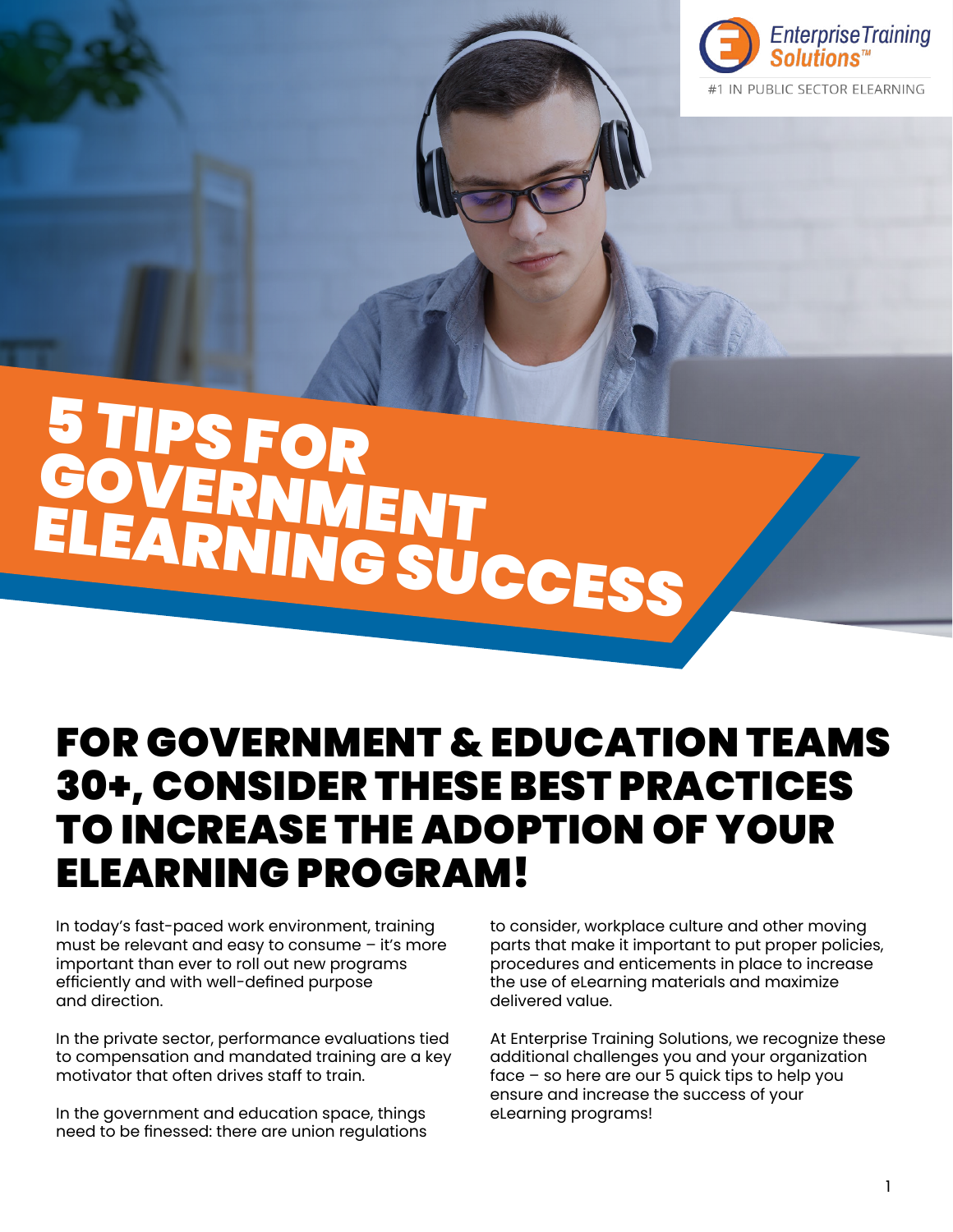

# 5 TIPS FOR GOVERNMENT ELEARNING SUCCESS

## FOR GOVERNMENT & EDUCATION TEAMS 30+, CONSIDER THESE BEST PRACTICES TO INCREASE THE ADOPTION OF YOUR ELEARNING PROGRAM!

In today's fast-paced work environment, training must be relevant and easy to consume – it's more important than ever to roll out new programs efficiently and with well-defined purpose and direction.

In the private sector, performance evaluations tied to compensation and mandated training are a key motivator that often drives staff to train.

In the government and education space, things need to be finessed: there are union regulations to consider, workplace culture and other moving parts that make it important to put proper policies, procedures and enticements in place to increase the use of eLearning materials and maximize delivered value.

At Enterprise Training Solutions, we recognize these additional challenges you and your organization face – so here are our 5 quick tips to help you ensure and increase the success of your eLearning programs!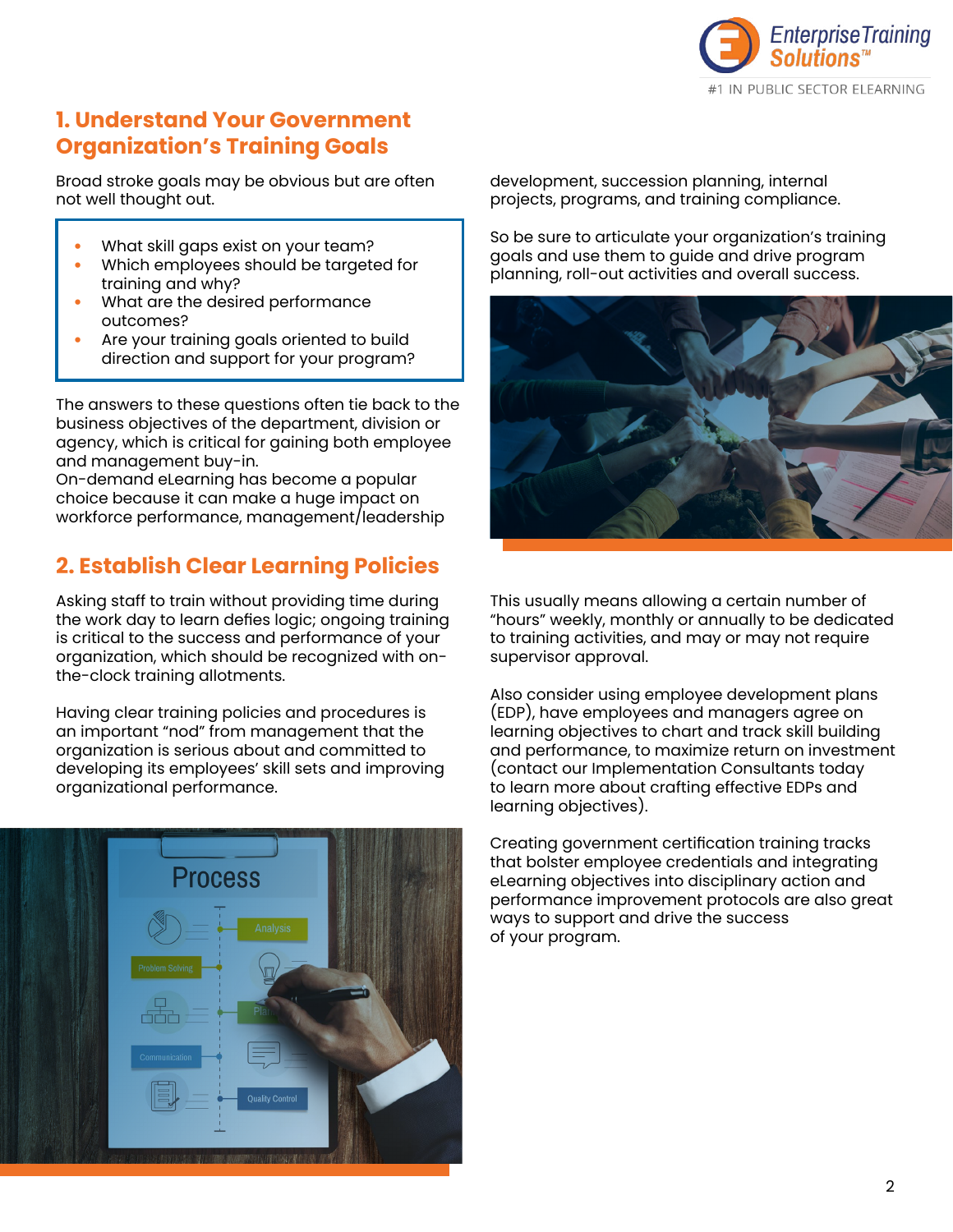

#### **1. Understand Your Government Organization's Training Goals**

Broad stroke goals may be obvious but are often not well thought out.

- What skill gaps exist on your team?
- Which employees should be targeted for training and why?
- What are the desired performance outcomes?
- Are your training goals oriented to build direction and support for your program?

The answers to these questions often tie back to the business objectives of the department, division or agency, which is critical for gaining both employee and management buy-in.

On-demand eLearning has become a popular choice because it can make a huge impact on workforce performance, management/leadership

### **2. Establish Clear Learning Policies**

Asking staff to train without providing time during the work day to learn defies logic; ongoing training is critical to the success and performance of your organization, which should be recognized with onthe-clock training allotments.

Having clear training policies and procedures is an important "nod" from management that the organization is serious about and committed to developing its employees' skill sets and improving organizational performance.



development, succession planning, internal projects, programs, and training compliance.

So be sure to articulate your organization's training goals and use them to guide and drive program planning, roll-out activities and overall success.



This usually means allowing a certain number of "hours" weekly, monthly or annually to be dedicated to training activities, and may or may not require supervisor approval.

Also consider using employee development plans (EDP), have employees and managers agree on learning objectives to chart and track skill building and performance, to maximize return on investment (contact our Implementation Consultants today to learn more about crafting effective EDPs and learning objectives).

Creating government certification training tracks that bolster employee credentials and integrating eLearning objectives into disciplinary action and performance improvement protocols are also great ways to support and drive the success of your program.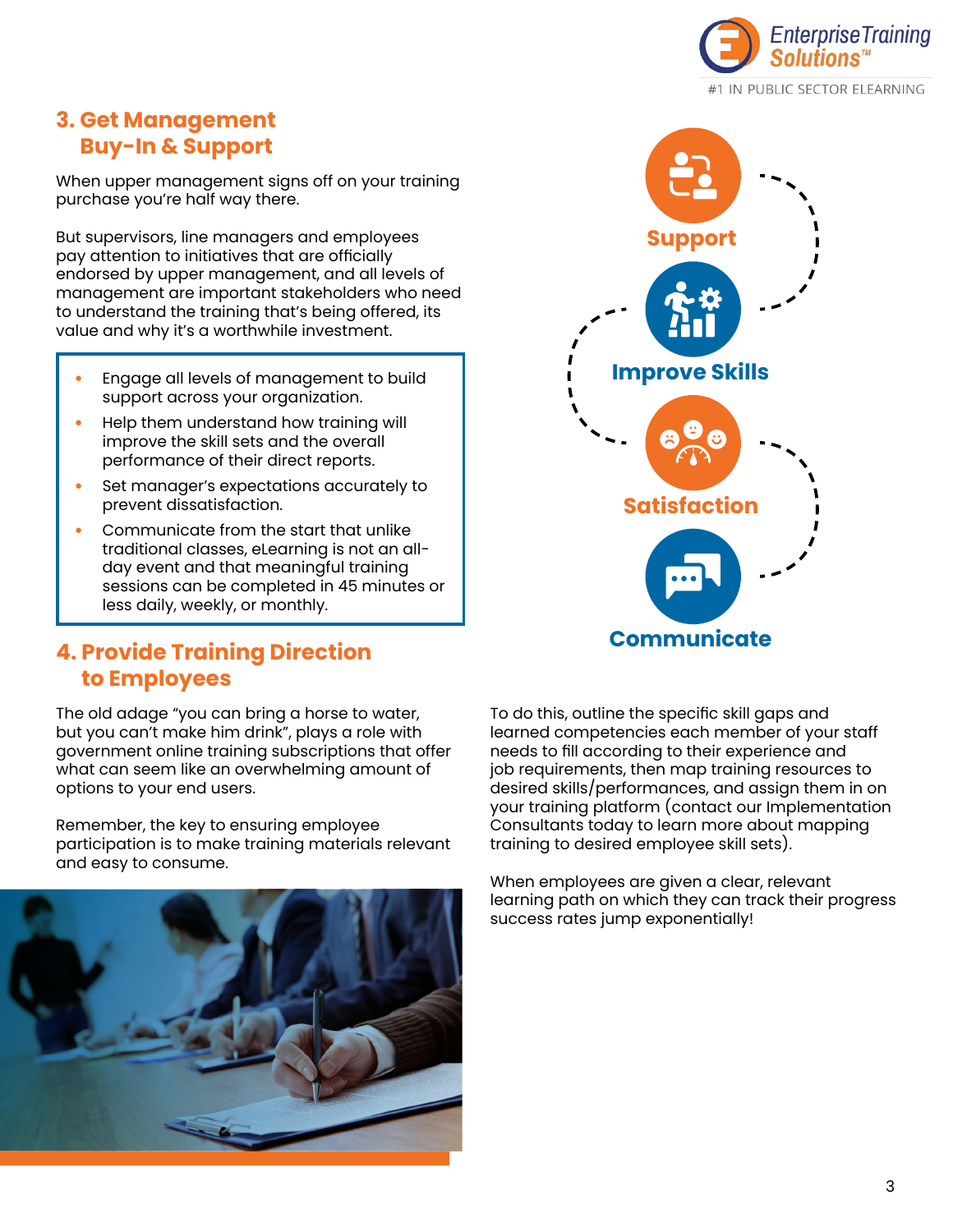

#### **3. Get Management Buy-In & Support**

When upper management signs off on your training purchase you're half way there.

But supervisors, line managers and employees pay attention to initiatives that are officially endorsed by upper management, and all levels of management are important stakeholders who need to understand the training that's being offered, its value and why it's a worthwhile investment.

- Engage all levels of management to build support across your organization.
- Help them understand how training will improve the skill sets and the overall performance of their direct reports.
- Set manager's expectations accurately to prevent dissatisfaction.
- Communicate from the start that unlike traditional classes, eLearning is not an allday event and that meaningful training sessions can be completed in 45 minutes or less daily, weekly, or monthly.

#### **4. Provide Training Direction to Employees**

The old adage "you can bring a horse to water, but you can't make him drink", plays a role with government online training subscriptions that offer what can seem like an overwhelming amount of options to your end users.

Remember, the key to ensuring employee participation is to make training materials relevant and easy to consume.





To do this, outline the specific skill gaps and learned competencies each member of your staff needs to fill according to their experience and job requirements, then map training resources to desired skills/performances, and assign them in on your training platform (contact our Implementation Consultants today to learn more about mapping training to desired employee skill sets).

When employees are given a clear, relevant learning path on which they can track their progress success rates jump exponentially!